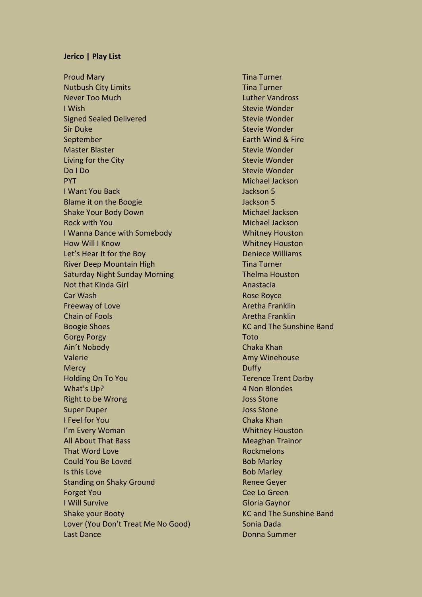## **Jerico | Play List**

Proud Mary **Tina Turner** Proud Mary **Time Turner** Nutbush City Limits Tina Turner Never Too Much Luther Vandross **I Wish Stevie Wonder** Stevie Wonder Signed Sealed Delivered Stevie Wonder Sir Duke Stevie Wonder September **Earth Wind & Fire** Earth Wind & Fire Master Blaster Stevie Wonder Stevie Wonder Living for the City Stevie Wonder Do I Do Stevie Wonder PYT And the state of the state of the state of the Michael Jackson I Want You Back Jackson 5 Blame it on the Boogie **Access 19** ackson 5 Shake Your Body Down Michael Jackson Rock with You Michael Jackson I Wanna Dance with Somebody New York Whitney Houston How Will I Know Whitney Houston Let's Hear It for the Boy **Deniece Williams** River Deep Mountain High Tina Turner Saturday Night Sunday Morning Thelma Houston Not that Kinda Girl Anastacia **Car Wash Rose Royce** Rose Royce Freeway of Love Aretha Franklin Chain of Fools **Aretha Franklin** Boogie Shoes **KC** and The Sunshine Band Gorgy Porgy Toto Ain't Nobody Chaka Khan Valerie **Amy Winehouse** Amy Winehouse Mercy **Duffy Duffy** Holding On To You **Terence Trent Darby** Terence Trent Darby What's Up? 4 Non Blondes Right to be Wrong and the United Stone Joss Stone **Super Duper Contract Contract Contract Contract Contract Contract Contract Contract Contract Contract Contract Contract Contract Contract Contract Contract Contract Contract Contract Contract Contract Contract Contract Co** I Feel for You Chaka Khan I'm Every Woman Whitney Houston All About That Bass Meaghan Trainor That Word Love **Rockmelons** Rockmelons Could You Be Loved **Bob Marley Is this Love** Bob Marley Standing on Shaky Ground Renee Geyer Forget You Cee Lo Green **I Will Survive Gloria Gaynor** Shake your Booty **KC** and The Sunshine Band Lover (You Don't Treat Me No Good) Sonia Dada Last Dance **Donna Summer** Donna Summer